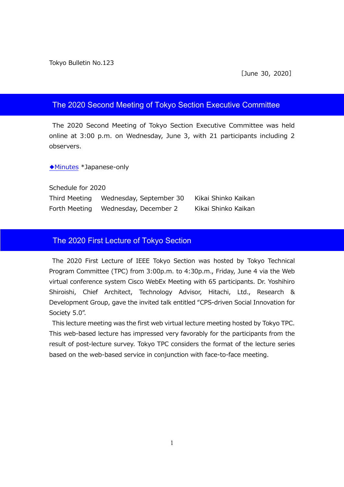#### The 2020 Second Meeting of Tokyo Section Executive Committee

The 2020 Second Meeting of Tokyo Section Executive Committee was held online at 3:00 p.m. on Wednesday, June 3, with 21 participants including 2 observers.

◆[Minutes](https://www.ieee-jp.org/section/tokyo/adm/agenda/giji20-2.pdf) \*Japanese-only

Schedule for 2020 Third Meeting Wednesday, September 30 Kikai Shinko Kaikan Forth Meeting Wednesday, December 2 Kikai Shinko Kaikan

### The 2020 First Lecture of Tokyo Section

The 2020 First Lecture of IEEE Tokyo Section was hosted by Tokyo Technical Program Committee (TPC) from 3:00p.m. to 4:30p.m., Friday, June 4 via the Web virtual conference system Cisco WebEx Meeting with 65 participants. Dr. Yoshihiro Shiroishi, Chief Architect, Technology Advisor, Hitachi, Ltd., Research & Development Group, gave the invited talk entitled "CPS-driven Social Innovation for Society 5.0".

This lecture meeting was the first web virtual lecture meeting hosted by Tokyo TPC. This web-based lecture has impressed very favorably for the participants from the result of post-lecture survey. Tokyo TPC considers the format of the lecture series based on the web-based service in conjunction with face-to-face meeting.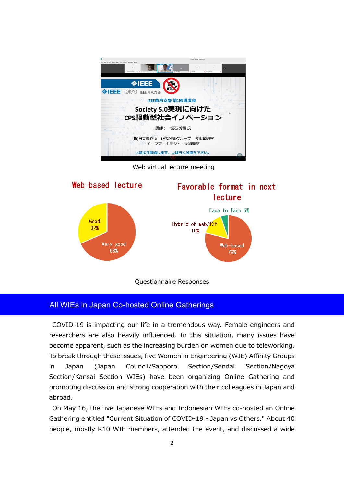

Web virtual lecture meeting



# Questionnaire Responses

## All WIEs in Japan Co-hosted Online Gatherings

COVID-19 is impacting our life in a tremendous way. Female engineers and researchers are also heavily influenced. In this situation, many issues have become apparent, such as the increasing burden on women due to teleworking. To break through these issues, five Women in Engineering (WIE) Affinity Groups in Japan (Japan Council/Sapporo Section/Sendai Section/Nagoya Section/Kansai Section WIEs) have been organizing Online Gathering and promoting discussion and strong cooperation with their colleagues in Japan and abroad.

On May 16, the five Japanese WIEs and Indonesian WIEs co-hosted an Online Gathering entitled "Current Situation of COVID-19 - Japan vs Others." About 40 people, mostly R10 WIE members, attended the event, and discussed a wide